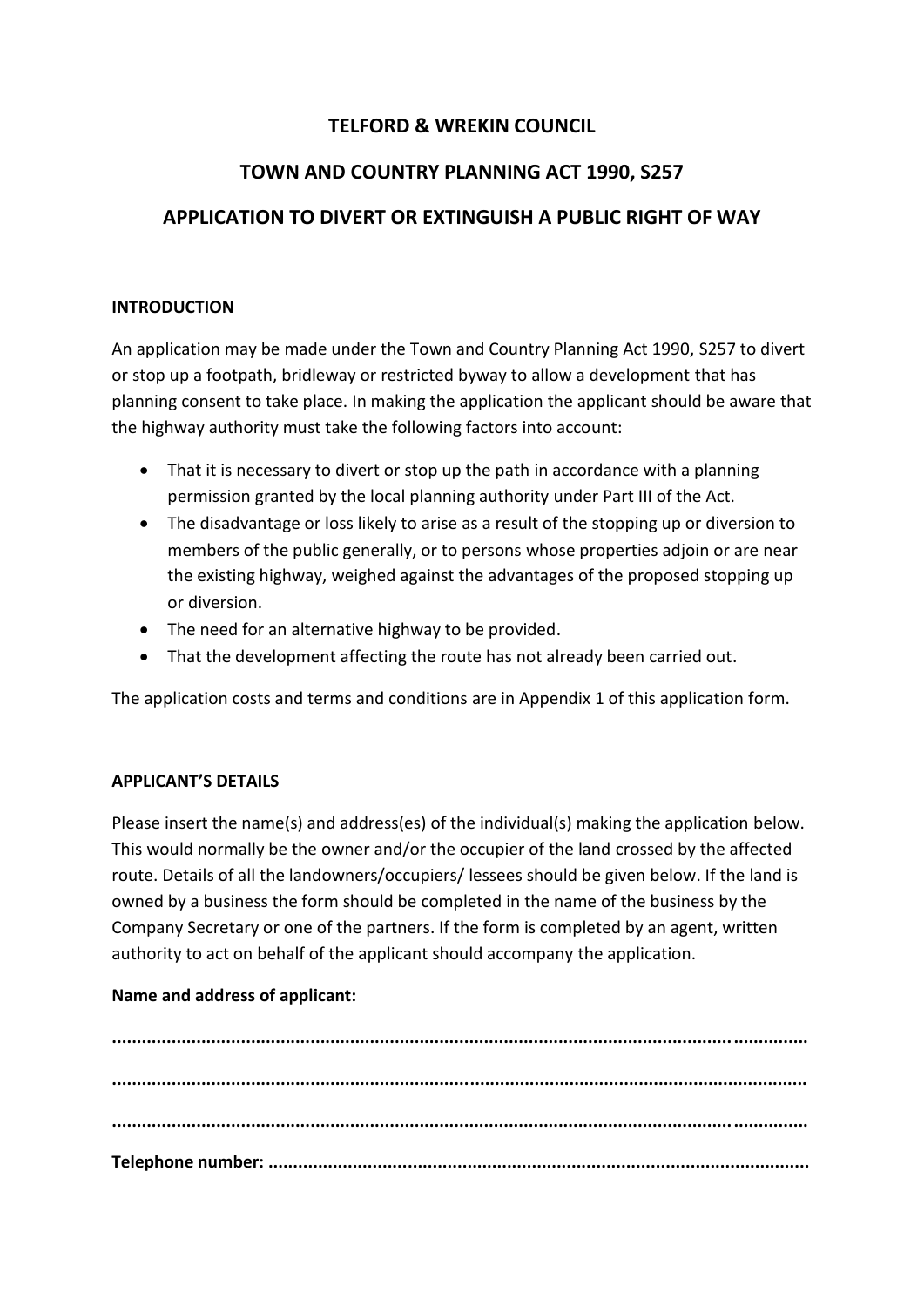## **TELFORD & WREKIN COUNCIL**

# **TOWN AND COUNTRY PLANNING ACT 1990, S257**

# **APPLICATION TO DIVERT OR EXTINGUISH A PUBLIC RIGHT OF WAY**

#### **INTRODUCTION**

An application may be made under the Town and Country Planning Act 1990, S257 to divert or stop up a footpath, bridleway or restricted byway to allow a development that has planning consent to take place. In making the application the applicant should be aware that the highway authority must take the following factors into account:

- That it is necessary to divert or stop up the path in accordance with a planning permission granted by the local planning authority under Part III of the Act.
- The disadvantage or loss likely to arise as a result of the stopping up or diversion to members of the public generally, or to persons whose properties adjoin or are near the existing highway, weighed against the advantages of the proposed stopping up or diversion.
- The need for an alternative highway to be provided.
- That the development affecting the route has not already been carried out.

The application costs and terms and conditions are in Appendix 1 of this application form.

### **APPLICANT'S DETAILS**

Please insert the name(s) and address(es) of the individual(s) making the application below. This would normally be the owner and/or the occupier of the land crossed by the affected route. Details of all the landowners/occupiers/ lessees should be given below. If the land is owned by a business the form should be completed in the name of the business by the Company Secretary or one of the partners. If the form is completed by an agent, written authority to act on behalf of the applicant should accompany the application.

### **Name and address of applicant:**

**............................................................................................................................................ ............................................................................................................................................ ............................................................................................................................................ Telephone number: .............................................................................................................**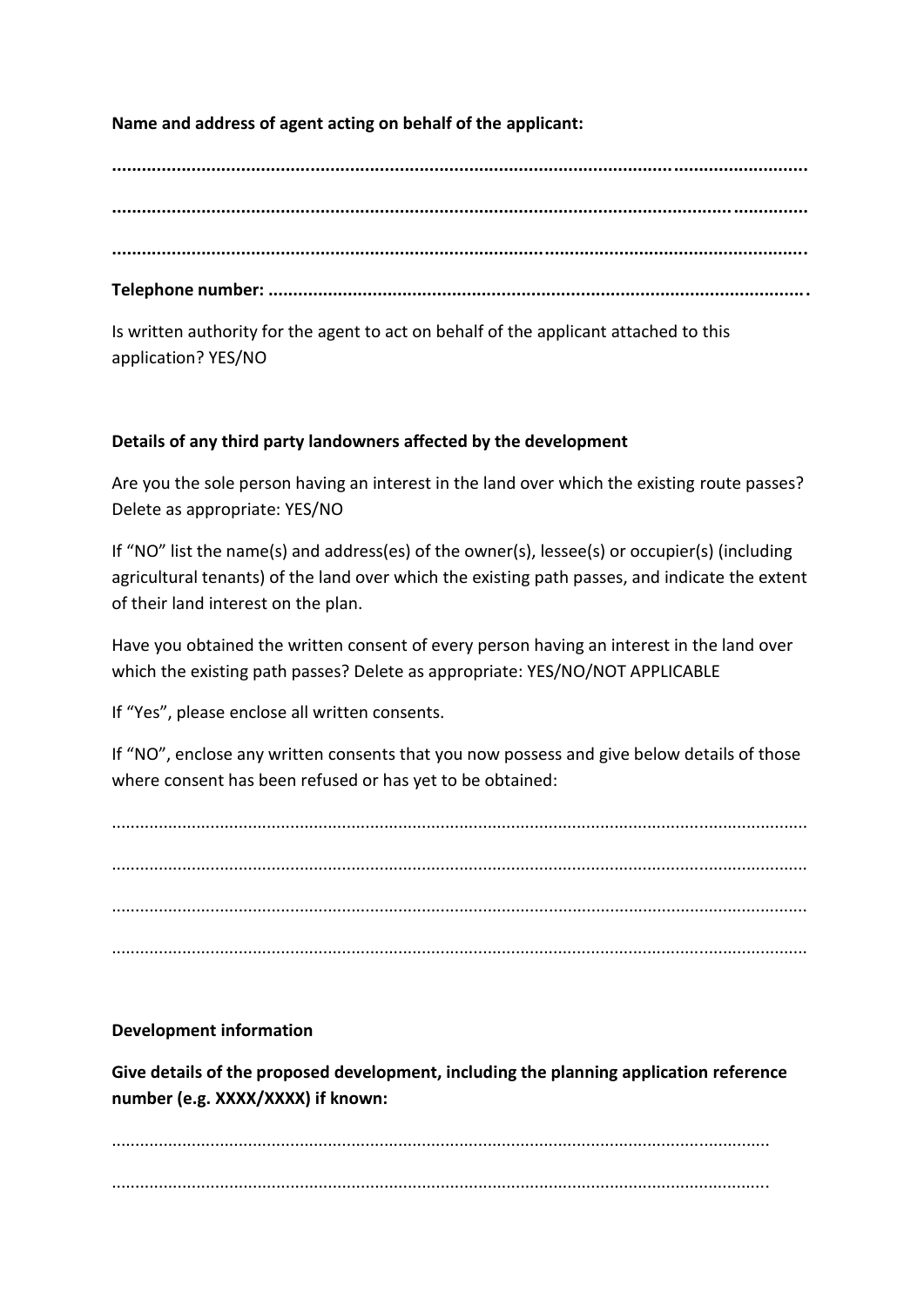## **Name and address of agent acting on behalf of the applicant:**

**............................................................................................................................................ ............................................................................................................................................ ............................................................................................................................................ Telephone number: .............................................................................................................**

Is written authority for the agent to act on behalf of the applicant attached to this application? YES/NO

### **Details of any third party landowners affected by the development**

Are you the sole person having an interest in the land over which the existing route passes? Delete as appropriate: YES/NO

If "NO" list the name(s) and address(es) of the owner(s), lessee(s) or occupier(s) (including agricultural tenants) of the land over which the existing path passes, and indicate the extent of their land interest on the plan.

Have you obtained the written consent of every person having an interest in the land over which the existing path passes? Delete as appropriate: YES/NO/NOT APPLICABLE

If "Yes", please enclose all written consents.

If "NO", enclose any written consents that you now possess and give below details of those where consent has been refused or has yet to be obtained:

.................................................................................................................................................... .................................................................................................................................................... .................................................................................................................................................... ....................................................................................................................................................

**Development information** 

**Give details of the proposed development, including the planning application reference number (e.g. XXXX/XXXX) if known:**

............................................................................................................................................ ............................................................................................................................................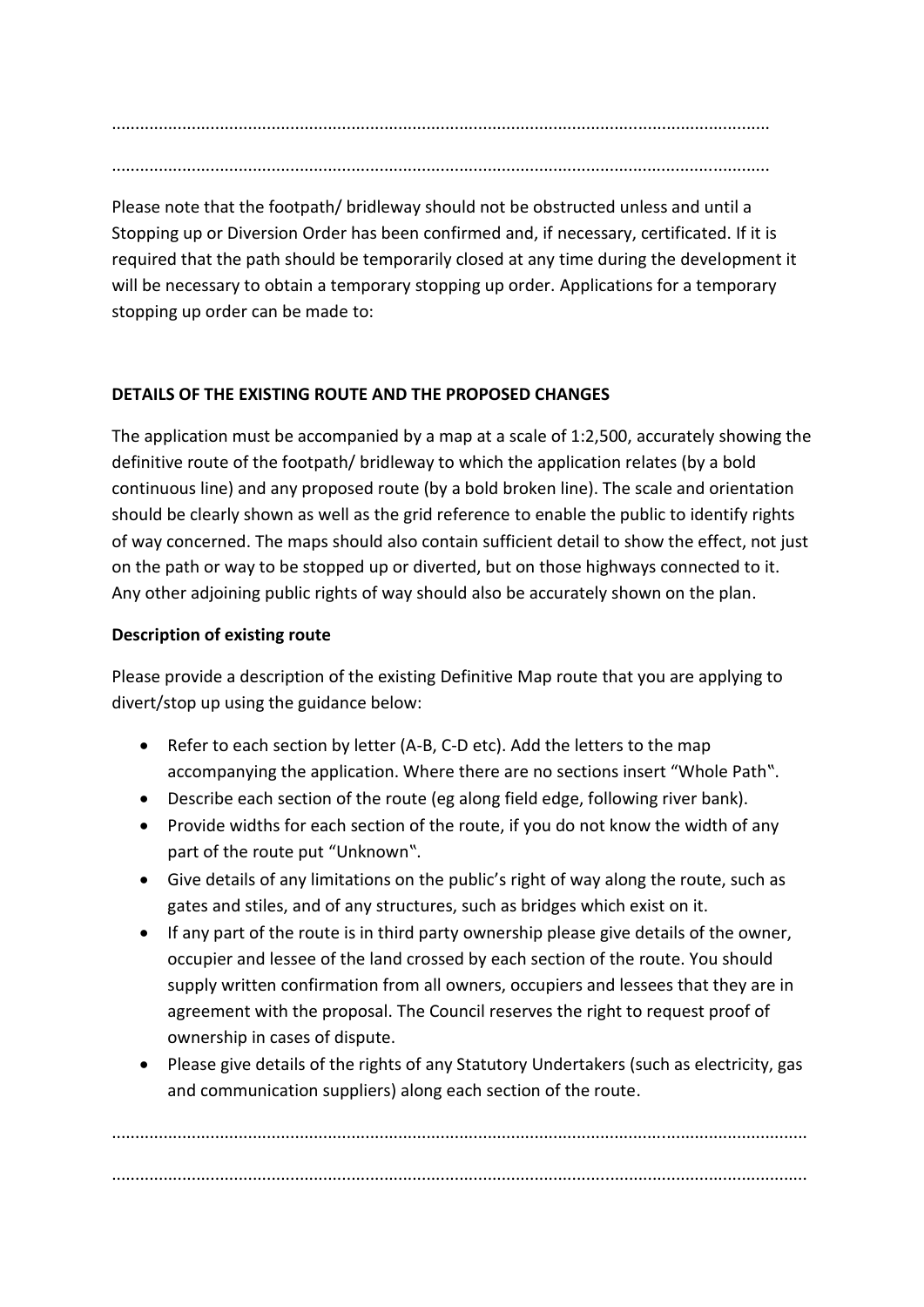............................................................................................................................................

Please note that the footpath/ bridleway should not be obstructed unless and until a Stopping up or Diversion Order has been confirmed and, if necessary, certificated. If it is required that the path should be temporarily closed at any time during the development it will be necessary to obtain a temporary stopping up order. Applications for a temporary stopping up order can be made to:

## **DETAILS OF THE EXISTING ROUTE AND THE PROPOSED CHANGES**

The application must be accompanied by a map at a scale of 1:2,500, accurately showing the definitive route of the footpath/ bridleway to which the application relates (by a bold continuous line) and any proposed route (by a bold broken line). The scale and orientation should be clearly shown as well as the grid reference to enable the public to identify rights of way concerned. The maps should also contain sufficient detail to show the effect, not just on the path or way to be stopped up or diverted, but on those highways connected to it. Any other adjoining public rights of way should also be accurately shown on the plan.

## **Description of existing route**

Please provide a description of the existing Definitive Map route that you are applying to divert/stop up using the guidance below:

- Refer to each section by letter (A-B, C-D etc). Add the letters to the map accompanying the application. Where there are no sections insert "Whole Path".
- Describe each section of the route (eg along field edge, following river bank).
- Provide widths for each section of the route, if you do not know the width of any part of the route put "Unknown".
- Give details of any limitations on the public's right of way along the route, such as gates and stiles, and of any structures, such as bridges which exist on it.
- If any part of the route is in third party ownership please give details of the owner, occupier and lessee of the land crossed by each section of the route. You should supply written confirmation from all owners, occupiers and lessees that they are in agreement with the proposal. The Council reserves the right to request proof of ownership in cases of dispute.
- Please give details of the rights of any Statutory Undertakers (such as electricity, gas and communication suppliers) along each section of the route.

.................................................................................................................................................... ....................................................................................................................................................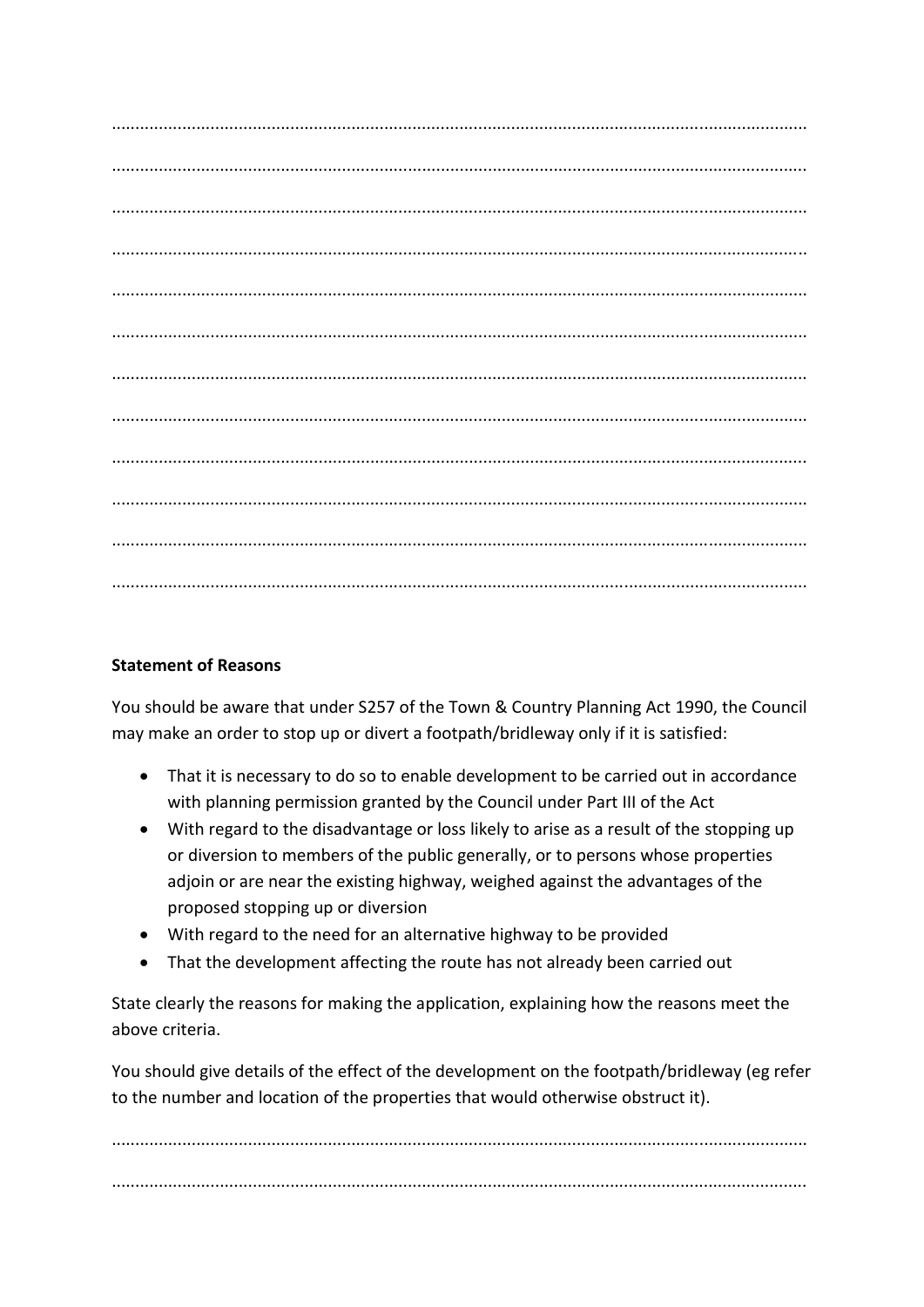### **Statement of Reasons**

You should be aware that under S257 of the Town & Country Planning Act 1990, the Council may make an order to stop up or divert a footpath/bridleway only if it is satisfied:

- That it is necessary to do so to enable development to be carried out in accordance with planning permission granted by the Council under Part III of the Act
- With regard to the disadvantage or loss likely to arise as a result of the stopping up or diversion to members of the public generally, or to persons whose properties adjoin or are near the existing highway, weighed against the advantages of the proposed stopping up or diversion
- With regard to the need for an alternative highway to be provided
- That the development affecting the route has not already been carried out

State clearly the reasons for making the application, explaining how the reasons meet the above criteria.

You should give details of the effect of the development on the footpath/bridleway (eg refer to the number and location of the properties that would otherwise obstruct it).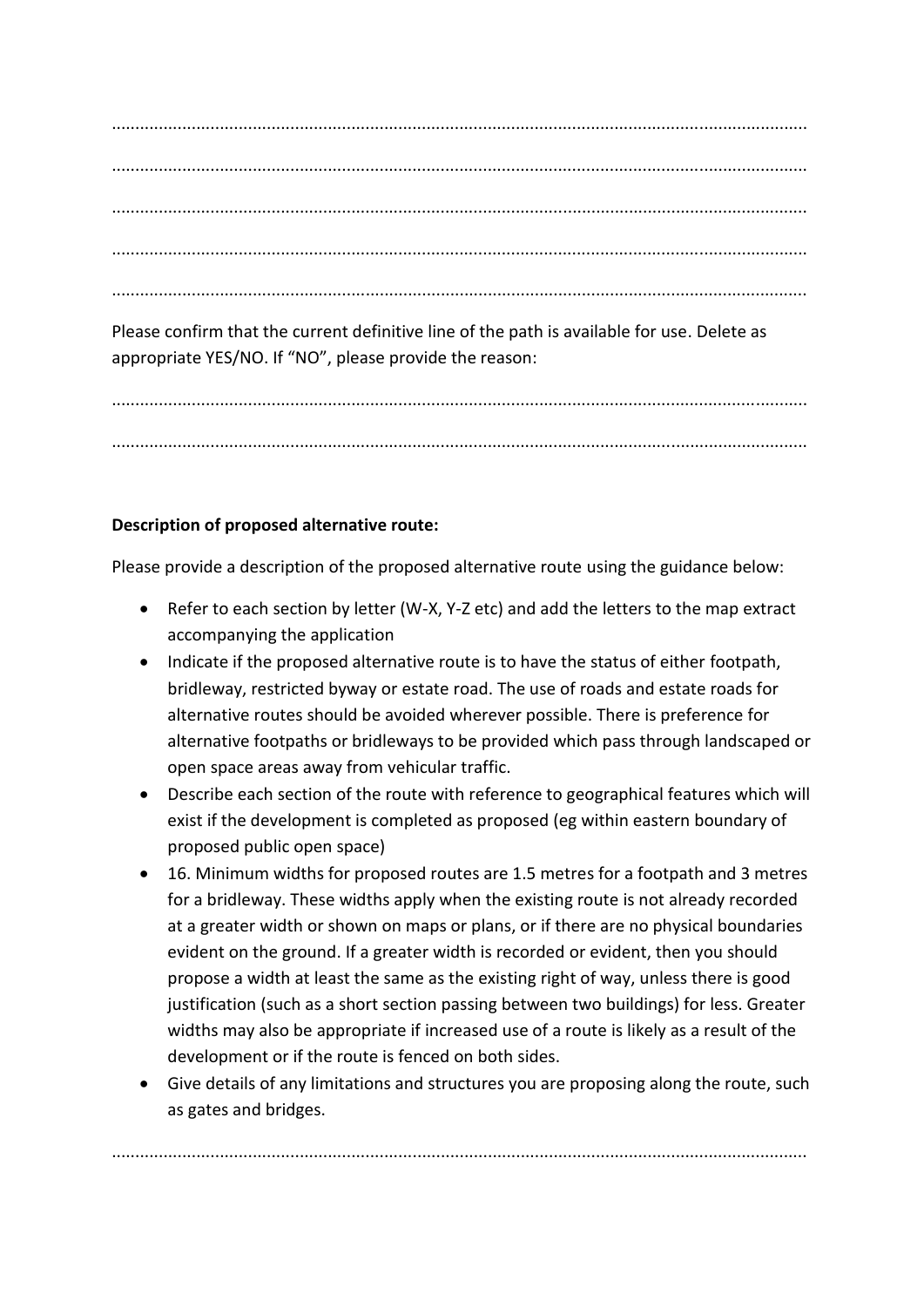.................................................................................................................................................... .................................................................................................................................................... .................................................................................................................................................... .................................................................................................................................................... ....................................................................................................................................................

Please confirm that the current definitive line of the path is available for use. Delete as appropriate YES/NO. If "NO", please provide the reason:

.................................................................................................................................................... ....................................................................................................................................................

## **Description of proposed alternative route:**

Please provide a description of the proposed alternative route using the guidance below:

- Refer to each section by letter (W-X, Y-Z etc) and add the letters to the map extract accompanying the application
- Indicate if the proposed alternative route is to have the status of either footpath, bridleway, restricted byway or estate road. The use of roads and estate roads for alternative routes should be avoided wherever possible. There is preference for alternative footpaths or bridleways to be provided which pass through landscaped or open space areas away from vehicular traffic.
- Describe each section of the route with reference to geographical features which will exist if the development is completed as proposed (eg within eastern boundary of proposed public open space)
- 16. Minimum widths for proposed routes are 1.5 metres for a footpath and 3 metres for a bridleway. These widths apply when the existing route is not already recorded at a greater width or shown on maps or plans, or if there are no physical boundaries evident on the ground. If a greater width is recorded or evident, then you should propose a width at least the same as the existing right of way, unless there is good justification (such as a short section passing between two buildings) for less. Greater widths may also be appropriate if increased use of a route is likely as a result of the development or if the route is fenced on both sides.
- Give details of any limitations and structures you are proposing along the route, such as gates and bridges.

....................................................................................................................................................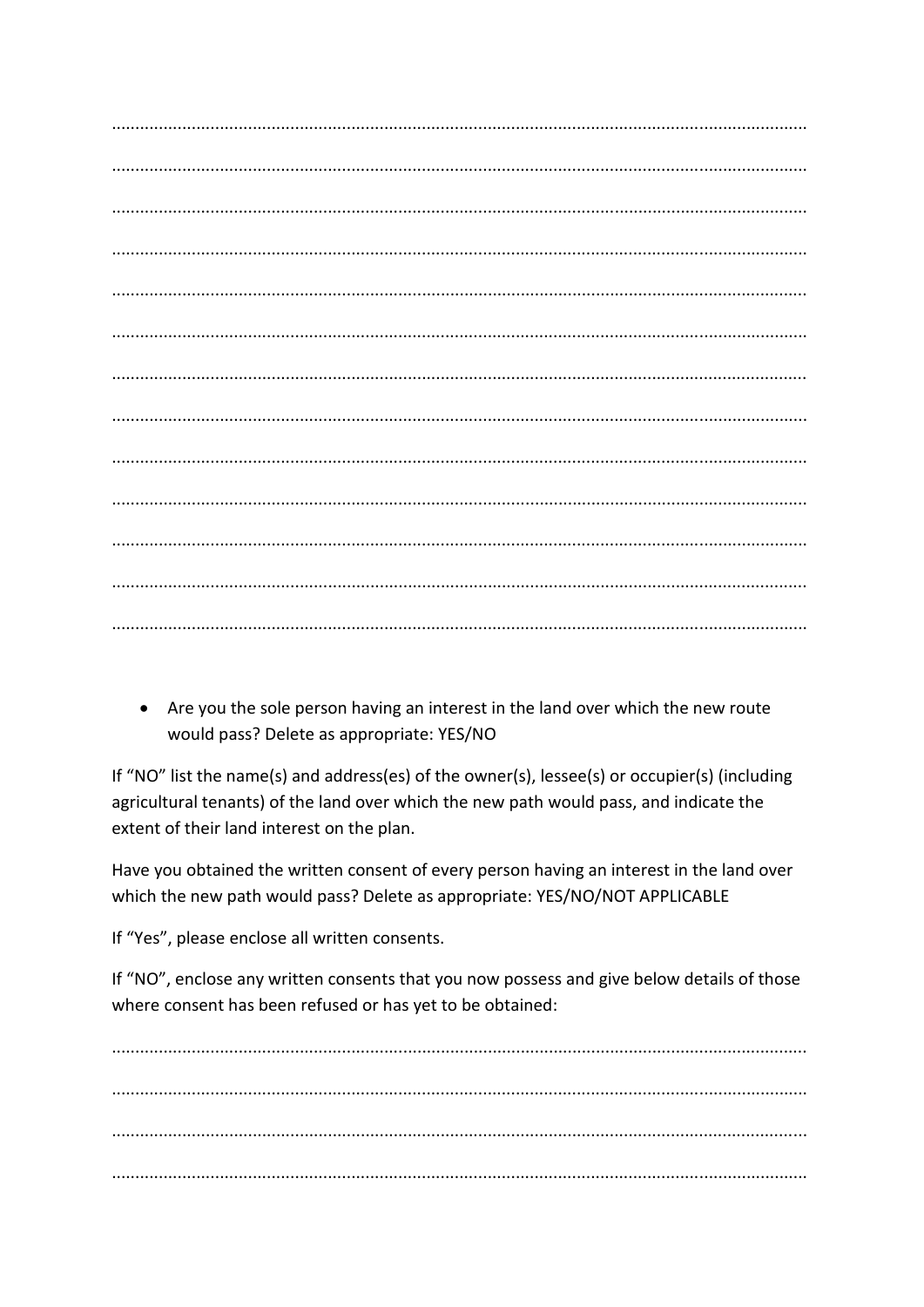• Are you the sole person having an interest in the land over which the new route would pass? Delete as appropriate: YES/NO

If "NO" list the name(s) and address(es) of the owner(s), lessee(s) or occupier(s) (including agricultural tenants) of the land over which the new path would pass, and indicate the extent of their land interest on the plan.

Have you obtained the written consent of every person having an interest in the land over which the new path would pass? Delete as appropriate: YES/NO/NOT APPLICABLE

If "Yes", please enclose all written consents.

If "NO", enclose any written consents that you now possess and give below details of those where consent has been refused or has yet to be obtained: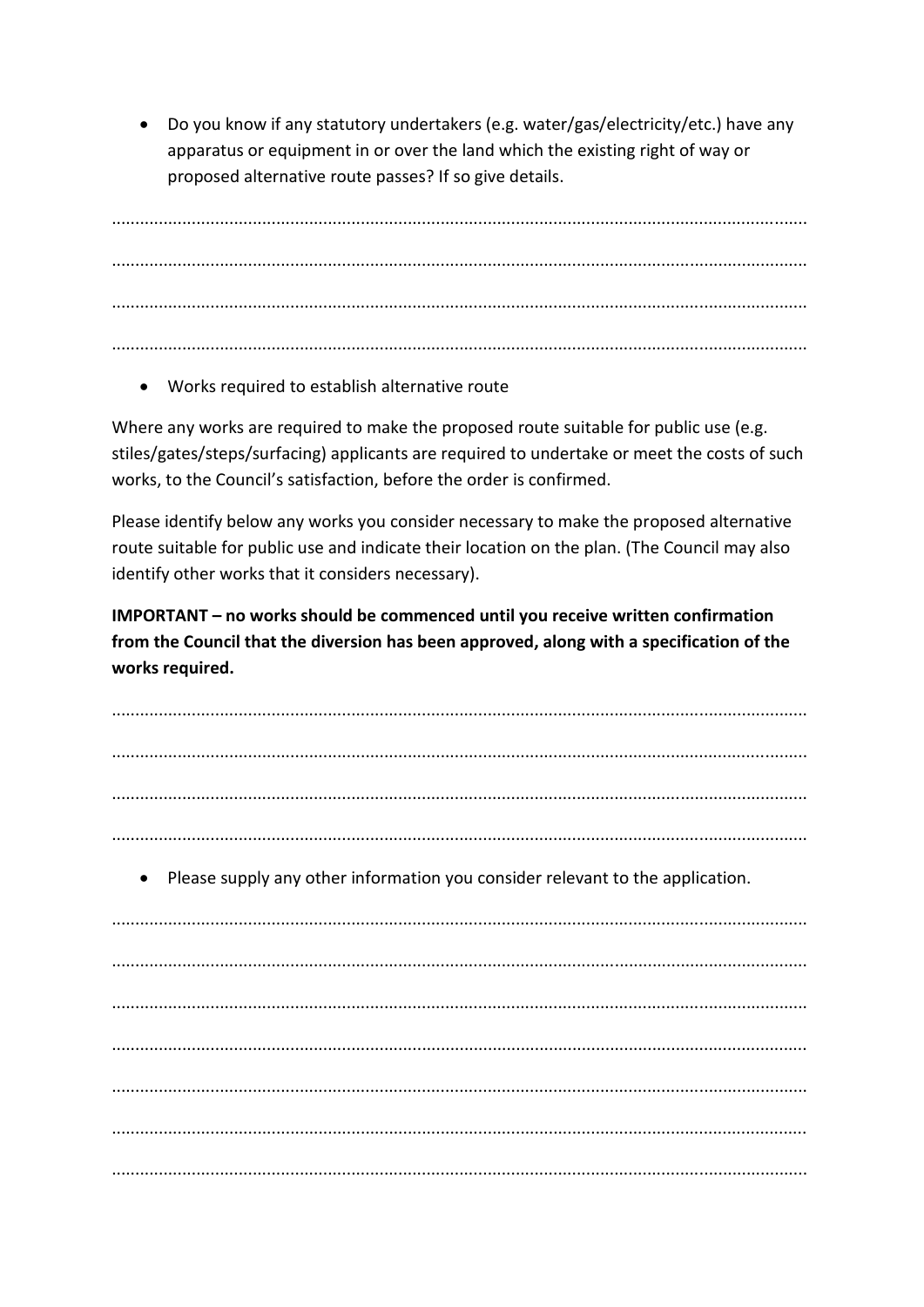• Do you know if any statutory undertakers (e.g. water/gas/electricity/etc.) have any apparatus or equipment in or over the land which the existing right of way or proposed alternative route passes? If so give details.

• Works required to establish alternative route

Where any works are required to make the proposed route suitable for public use (e.g. stiles/gates/steps/surfacing) applicants are required to undertake or meet the costs of such works, to the Council's satisfaction, before the order is confirmed.

Please identify below any works you consider necessary to make the proposed alternative route suitable for public use and indicate their location on the plan. (The Council may also identify other works that it considers necessary).

IMPORTANT - no works should be commenced until you receive written confirmation from the Council that the diversion has been approved, along with a specification of the works required.

• Please supply any other information you consider relevant to the application.